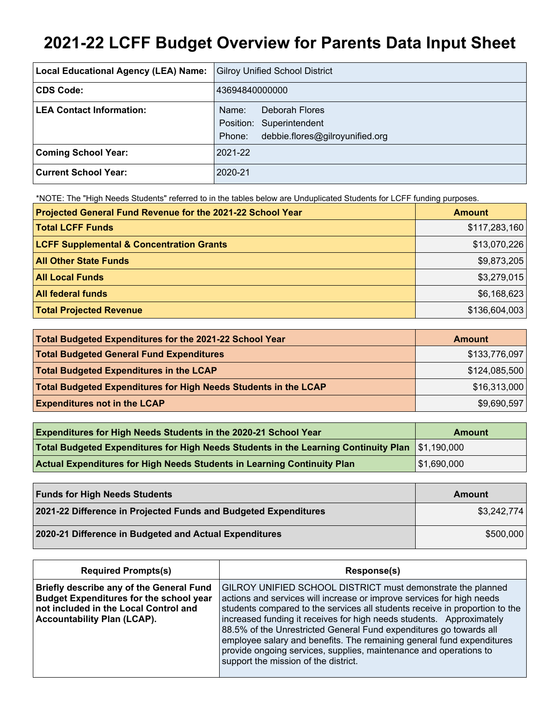# **2021-22 LCFF Budget Overview for Parents Data Input Sheet**

| Local Educational Agency (LEA) Name: | <b>Gilroy Unified School District</b>                                                            |
|--------------------------------------|--------------------------------------------------------------------------------------------------|
| CDS Code:                            | 43694840000000                                                                                   |
| <b>LEA Contact Information:</b>      | Deborah Flores<br>Name:<br>Position: Superintendent<br>debbie.flores@gilroyunified.org<br>Phone: |
| <b>Coming School Year:</b>           | 2021-22                                                                                          |
| Current School Year:                 | 2020-21                                                                                          |

\*NOTE: The "High Needs Students" referred to in the tables below are Unduplicated Students for LCFF funding purposes.

| Projected General Fund Revenue for the 2021-22 School Year | <b>Amount</b> |
|------------------------------------------------------------|---------------|
| <b>Total LCFF Funds</b>                                    | \$117,283,160 |
| <b>LCFF Supplemental &amp; Concentration Grants</b>        | \$13,070,226  |
| <b>All Other State Funds</b>                               | \$9,873,205   |
| <b>All Local Funds</b>                                     | \$3,279,015   |
| <b>All federal funds</b>                                   | \$6,168,623   |
| <b>Total Projected Revenue</b>                             | \$136,604,003 |

| Total Budgeted Expenditures for the 2021-22 School Year         | <b>Amount</b> |
|-----------------------------------------------------------------|---------------|
| <b>Total Budgeted General Fund Expenditures</b>                 | \$133,776,097 |
| <b>Total Budgeted Expenditures in the LCAP</b>                  | \$124,085,500 |
| Total Budgeted Expenditures for High Needs Students in the LCAP | \$16,313,000  |
| <b>Expenditures not in the LCAP</b>                             | \$9,690,597   |

| <b>Expenditures for High Needs Students in the 2020-21 School Year</b>                             | Amount      |
|----------------------------------------------------------------------------------------------------|-------------|
| Total Budgeted Expenditures for High Needs Students in the Learning Continuity Plan $ \$1,190,000$ |             |
| <b>Actual Expenditures for High Needs Students in Learning Continuity Plan</b>                     | \$1,690,000 |

| <b>Funds for High Needs Students</b>                            | Amount      |
|-----------------------------------------------------------------|-------------|
| 2021-22 Difference in Projected Funds and Budgeted Expenditures | \$3,242,774 |
| 2020-21 Difference in Budgeted and Actual Expenditures          | \$500,000   |

| <b>Required Prompts(s)</b>                                                                                                                                                | Response(s)                                                                                                                                                                                                                                                                                                                                                                                                                                                                                                                                             |
|---------------------------------------------------------------------------------------------------------------------------------------------------------------------------|---------------------------------------------------------------------------------------------------------------------------------------------------------------------------------------------------------------------------------------------------------------------------------------------------------------------------------------------------------------------------------------------------------------------------------------------------------------------------------------------------------------------------------------------------------|
| Briefly describe any of the General Fund<br><b>Budget Expenditures for the school year</b><br>not included in the Local Control and<br><b>Accountability Plan (LCAP).</b> | GILROY UNIFIED SCHOOL DISTRICT must demonstrate the planned<br>actions and services will increase or improve services for high needs<br>students compared to the services all students receive in proportion to the<br>increased funding it receives for high needs students. Approximately<br>88.5% of the Unrestricted General Fund expenditures go towards all<br>employee salary and benefits. The remaining general fund expenditures<br>provide ongoing services, supplies, maintenance and operations to<br>support the mission of the district. |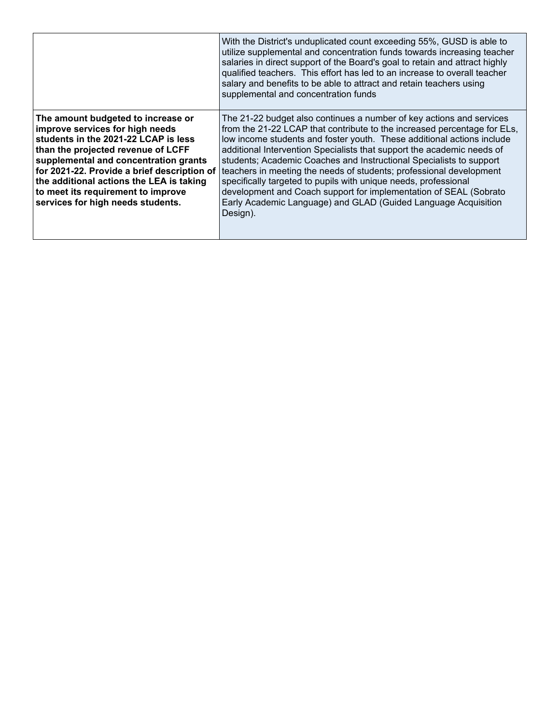|                                                                                                                                                                                                                                                                                                                                                                    | With the District's unduplicated count exceeding 55%, GUSD is able to<br>utilize supplemental and concentration funds towards increasing teacher<br>salaries in direct support of the Board's goal to retain and attract highly<br>qualified teachers. This effort has led to an increase to overall teacher<br>salary and benefits to be able to attract and retain teachers using<br>supplemental and concentration funds                                                                                                                                                                                                                                              |
|--------------------------------------------------------------------------------------------------------------------------------------------------------------------------------------------------------------------------------------------------------------------------------------------------------------------------------------------------------------------|--------------------------------------------------------------------------------------------------------------------------------------------------------------------------------------------------------------------------------------------------------------------------------------------------------------------------------------------------------------------------------------------------------------------------------------------------------------------------------------------------------------------------------------------------------------------------------------------------------------------------------------------------------------------------|
| The amount budgeted to increase or<br>improve services for high needs<br>students in the 2021-22 LCAP is less<br>than the projected revenue of LCFF<br>supplemental and concentration grants<br>for 2021-22. Provide a brief description of<br>the additional actions the LEA is taking<br>to meet its requirement to improve<br>services for high needs students. | The 21-22 budget also continues a number of key actions and services<br>from the 21-22 LCAP that contribute to the increased percentage for ELs,<br>low income students and foster youth. These additional actions include<br>additional Intervention Specialists that support the academic needs of<br>students; Academic Coaches and Instructional Specialists to support<br>teachers in meeting the needs of students; professional development<br>specifically targeted to pupils with unique needs, professional<br>development and Coach support for implementation of SEAL (Sobrato<br>Early Academic Language) and GLAD (Guided Language Acquisition<br>Design). |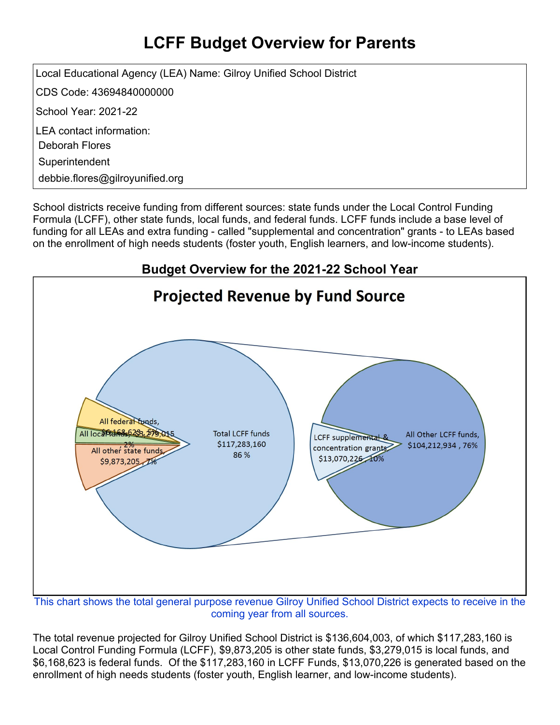## **LCFF Budget Overview for Parents**

Local Educational Agency (LEA) Name: Gilroy Unified School District

CDS Code: 43694840000000

School Year: 2021-22

LEA contact information:

Deborah Flores

**Superintendent** 

debbie.flores@gilroyunified.org

School districts receive funding from different sources: state funds under the Local Control Funding Formula (LCFF), other state funds, local funds, and federal funds. LCFF funds include a base level of funding for all LEAs and extra funding - called "supplemental and concentration" grants - to LEAs based on the enrollment of high needs students (foster youth, English learners, and low-income students).



This chart shows the total general purpose revenue Gilroy Unified School District expects to receive in the coming year from all sources.

The total revenue projected for Gilroy Unified School District is \$136,604,003, of which \$117,283,160 is Local Control Funding Formula (LCFF), \$9,873,205 is other state funds, \$3,279,015 is local funds, and \$6,168,623 is federal funds. Of the \$117,283,160 in LCFF Funds, \$13,070,226 is generated based on the enrollment of high needs students (foster youth, English learner, and low-income students).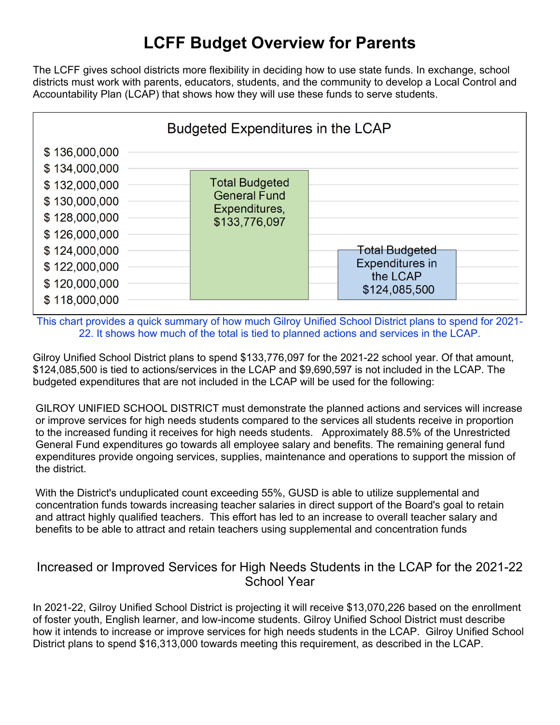## **LCFF Budget Overview for Parents**

The LCFF gives school districts more flexibility in deciding how to use state funds. In exchange, school districts must work with parents, educators, students, and the community to develop a Local Control and Accountability Plan (LCAP) that shows how they will use these funds to serve students.



This chart provides a quick summary of how much Gilroy Unified School District plans to spend for 2021- 22. It shows how much of the total is tied to planned actions and services in the LCAP.

Gilroy Unified School District plans to spend \$133,776,097 for the 2021-22 school year. Of that amount, \$124,085,500 is tied to actions/services in the LCAP and \$9,690,597 is not included in the LCAP. The budgeted expenditures that are not included in the LCAP will be used for the following:

GILROY UNIFIED SCHOOL DISTRICT must demonstrate the planned actions and services will increase or improve services for high needs students compared to the services all students receive in proportion to the increased funding it receives for high needs students. Approximately 88.5% of the Unrestricted General Fund expenditures go towards all employee salary and benefits. The remaining general fund expenditures provide ongoing services, supplies, maintenance and operations to support the mission of the district.

With the District's unduplicated count exceeding 55%, GUSD is able to utilize supplemental and concentration funds towards increasing teacher salaries in direct support of the Board's goal to retain and attract highly qualified teachers. This effort has led to an increase to overall teacher salary and benefits to be able to attract and retain teachers using supplemental and concentration funds

#### Increased or Improved Services for High Needs Students in the LCAP for the 2021-22 School Year

In 2021-22, Gilroy Unified School District is projecting it will receive \$13,070,226 based on the enrollment of foster youth, English learner, and low-income students. Gilroy Unified School District must describe how it intends to increase or improve services for high needs students in the LCAP. Gilroy Unified School District plans to spend \$16,313,000 towards meeting this requirement, as described in the LCAP.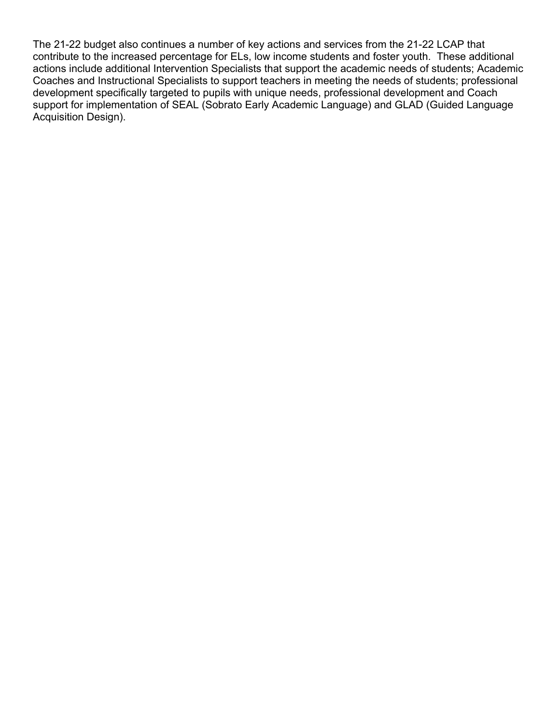The 21-22 budget also continues a number of key actions and services from the 21-22 LCAP that contribute to the increased percentage for ELs, low income students and foster youth. These additional actions include additional Intervention Specialists that support the academic needs of students; Academic Coaches and Instructional Specialists to support teachers in meeting the needs of students; professional development specifically targeted to pupils with unique needs, professional development and Coach support for implementation of SEAL (Sobrato Early Academic Language) and GLAD (Guided Language Acquisition Design).